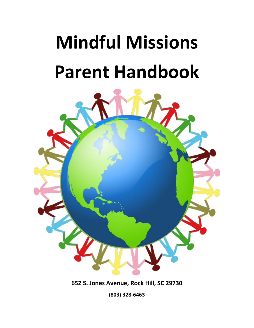# **Mindful Missions Parent Handbook**



**652 S. Jones Avenue, Rock Hill, SC 29730**

**(803) 328-6463**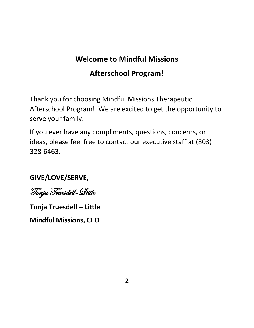## **Welcome to Mindful Missions**

## **Afterschool Program!**

Thank you for choosing Mindful Missions Therapeutic Afterschool Program! We are excited to get the opportunity to serve your family.

If you ever have any compliments, questions, concerns, or ideas, please feel free to contact our executive staff at (803) 328-6463.

### **GIVE/LOVE/SERVE,**

Tonja Truesdell-Little

**Tonja Truesdell – Little**

**Mindful Missions, CEO**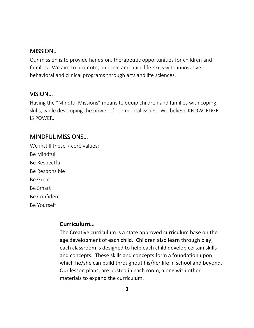#### MISSION…

Our mission is to provide hands-on, therapeutic opportunities for children and families. We aim to promote, improve and build life-skills with innovative behavioral and clinical programs through arts and life sciences.

#### VISION…

Having the "Mindful Missions" means to equip children and families with coping skills, while developing the power of our mental issues. We believe KNOWLEDGE IS POWER.

#### MINDFUL MISSIONS…

We instill these 7 core values: Be Mindful Be Respectful Be Responsible Be Great Be Smart Be Confident Be Yourself

#### **Curriculum…**

The Creative curriculum is a state approved curriculum base on the age development of each child. Children also learn through play, each classroom is designed to help each child develop certain skills and concepts. These skills and concepts form a foundation upon which he/she can build throughout his/her life in school and beyond. Our lesson plans, are posted in each room, along with other materials to expand the curriculum.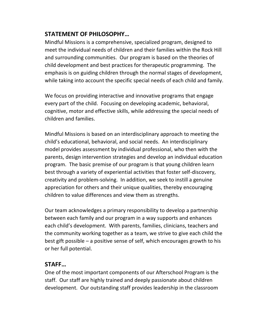#### **STATEMENT OF PHILOSOPHY…**

Mindful Missions is a comprehensive, specialized program, designed to meet the individual needs of children and their families within the Rock Hill and surrounding communities. Our program is based on the theories of child development and best practices for therapeutic programming. The emphasis is on guiding children through the normal stages of development, while taking into account the specific special needs of each child and family.

We focus on providing interactive and innovative programs that engage every part of the child. Focusing on developing academic, behavioral, cognitive, motor and effective skills, while addressing the special needs of children and families.

Mindful Missions is based on an interdisciplinary approach to meeting the child's educational, behavioral, and social needs. An interdisciplinary model provides assessment by individual professional, who then with the parents, design intervention strategies and develop an individual education program. The basic premise of our program is that young children learn best through a variety of experiential activities that foster self-discovery, creativity and problem-solving. In addition, we seek to instill a genuine appreciation for others and their unique qualities, thereby encouraging children to value differences and view them as strengths.

Our team acknowledges a primary responsibility to develop a partnership between each family and our program in a way supports and enhances each child's development. With parents, families, clinicians, teachers and the community working together as a team, we strive to give each child the best gift possible – a positive sense of self, which encourages growth to his or her full potential.

#### **STAFF…**

One of the most important components of our Afterschool Program is the staff. Our staff are highly trained and deeply passionate about children development. Our outstanding staff provides leadership in the classroom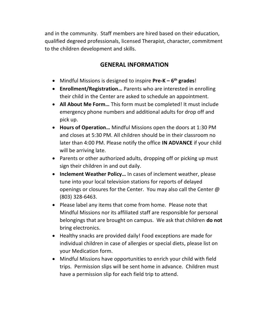and in the community. Staff members are hired based on their education, qualified degreed professionals, licensed Therapist, character, commitment to the children development and skills.

#### **GENERAL INFORMATION**

- Mindful Missions is designed to inspire **Pre-K – 6 th grades**!
- **Enrollment/Registration…** Parents who are interested in enrolling their child in the Center are asked to schedule an appointment.
- **All About Me Form…** This form must be completed! It must include emergency phone numbers and additional adults for drop off and pick up.
- **Hours of Operation…** Mindful Missions open the doors at 1:30 PM and closes at 5:30 PM. All children should be in their classroom no later than 4:00 PM. Please notify the office **IN ADVANCE** if your child will be arriving late.
- Parents or other authorized adults, dropping off or picking up must sign their children in and out daily.
- **Inclement Weather Policy…** In cases of inclement weather, please tune into your local television stations for reports of delayed openings or closures for the Center. You may also call the Center @ (803) 328-6463.
- Please label any items that come from home. Please note that Mindful Missions nor its affiliated staff are responsible for personal belongings that are brought on campus. We ask that children **do not** bring electronics.
- Healthy snacks are provided daily! Food exceptions are made for individual children in case of allergies or special diets, please list on your Medication form.
- Mindful Missions have opportunities to enrich your child with field trips. Permission slips will be sent home in advance. Children must have a permission slip for each field trip to attend.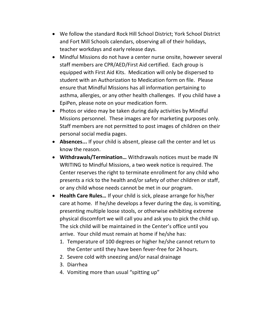- We follow the standard Rock Hill School District; York School District and Fort Mill Schools calendars, observing all of their holidays, teacher workdays and early release days.
- Mindful Missions do not have a center nurse onsite, however several staff members are CPR/AED/First Aid certified. Each group is equipped with First Aid Kits. Medication will only be dispersed to student with an Authorization to Medication form on file. Please ensure that Mindful Missions has all information pertaining to asthma, allergies, or any other health challenges. If you child have a EpiPen, please note on your medication form.
- Photos or video may be taken during daily activities by Mindful Missions personnel. These images are for marketing purposes only. Staff members are not permitted to post images of children on their personal social media pages.
- **Absences...** If your child is absent, please call the center and let us know the reason.
- **Withdrawals/Termination…** Withdrawals notices must be made IN WRITING to Mindful Missions, a two week notice is required. The Center reserves the right to terminate enrollment for any child who presents a rick to the health and/or safety of other children or staff, or any child whose needs cannot be met in our program.
- **Health Care Rules…** If your child is sick, please arrange for his/her care at home. If he/she develops a fever during the day, is vomiting, presenting multiple loose stools, or otherwise exhibiting extreme physical discomfort we will call you and ask you to pick the child up. The sick child will be maintained in the Center's office until you arrive. Your child must remain at home if he/she has:
	- 1. Temperature of 100 degrees or higher he/she cannot return to the Center until they have been fever-free for 24 hours.
	- 2. Severe cold with sneezing and/or nasal drainage
	- 3. Diarrhea
	- 4. Vomiting more than usual "spitting up"